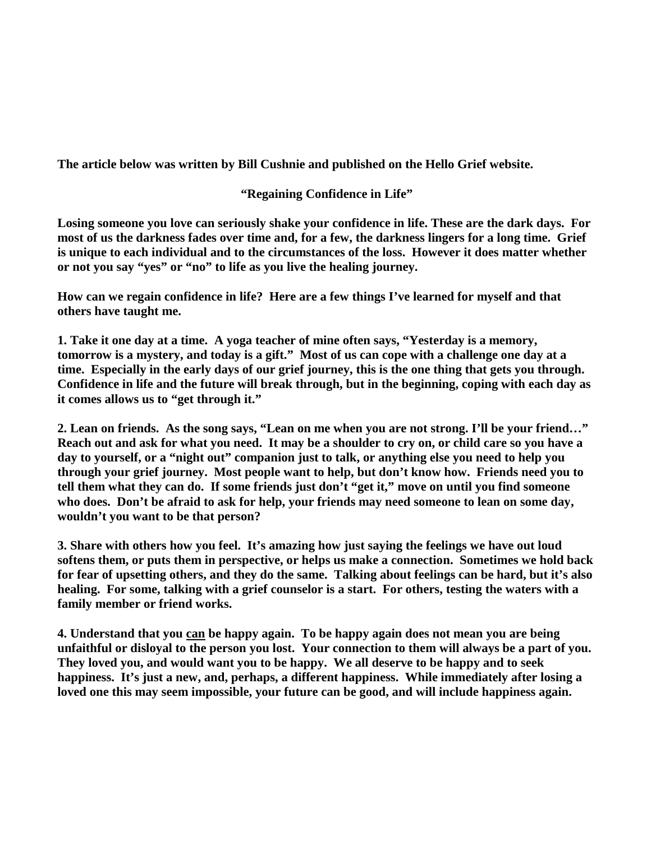**The article below was written by Bill Cushnie and published on the Hello Grief website.** 

## **"Regaining Confidence in Life"**

**Losing someone you love can seriously shake your confidence in life. These are the dark days. For most of us the darkness fades over time and, for a few, the darkness lingers for a long time. Grief is unique to each individual and to the circumstances of the loss. However it does matter whether or not you say "yes" or "no" to life as you live the healing journey.**

**How can we regain confidence in life? Here are a few things I've learned for myself and that others have taught me.**

**1. Take it one day at a time. A yoga teacher of mine often says, "Yesterday is a memory, tomorrow is a mystery, and today is a gift." Most of us can cope with a challenge one day at a time. Especially in the early days of our grief journey, this is the one thing that gets you through. Confidence in life and the future will break through, but in the beginning, coping with each day as it comes allows us to "get through it."**

**2. Lean on friends. As the song says, "Lean on me when you are not strong. I'll be your friend…" Reach out and ask for what you need. It may be a shoulder to cry on, or child care so you have a day to yourself, or a "night out" companion just to talk, or anything else you need to help you through your grief journey. Most people want to help, but don't know how. Friends need you to tell them what they can do. If some friends just don't "get it," move on until you find someone who does. Don't be afraid to ask for help, your friends may need someone to lean on some day, wouldn't you want to be that person?**

**3. Share with others how you feel. It's amazing how just saying the feelings we have out loud softens them, or puts them in perspective, or helps us make a connection. Sometimes we hold back for fear of upsetting others, and they do the same. Talking about feelings can be hard, but it's also healing. For some, talking with a grief counselor is a start. For others, testing the waters with a family member or friend works.**

**4. Understand that you can be happy again. To be happy again does not mean you are being unfaithful or disloyal to the person you lost. Your connection to them will always be a part of you. They loved you, and would want you to be happy. We all deserve to be happy and to seek happiness. It's just a new, and, perhaps, a different happiness. While immediately after losing a loved one this may seem impossible, your future can be good, and will include happiness again.**